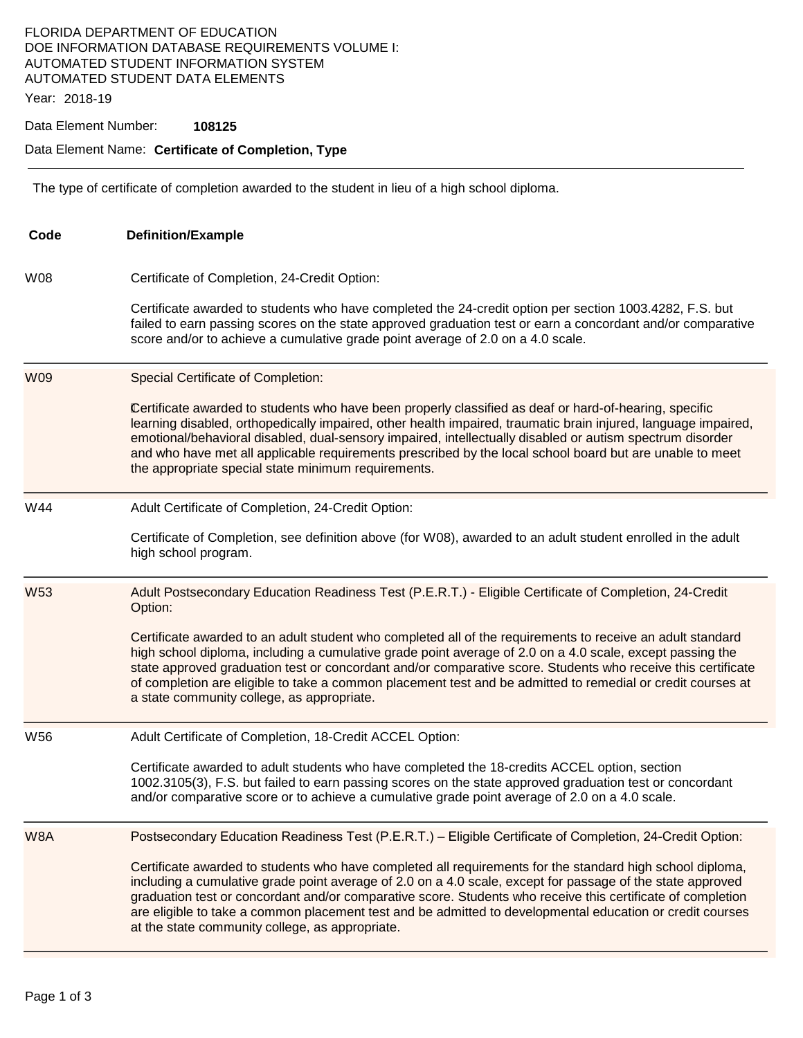## FLORIDA DEPARTMENT OF EDUCATION DOE INFORMATION DATABASE REQUIREMENTS VOLUME I: AUTOMATED STUDENT INFORMATION SYSTEM AUTOMATED STUDENT DATA ELEMENTS

Year: 2018-19

#### Data Element Number: **108125**

#### Data Element Name: **Certificate of Completion, Type**

The type of certificate of completion awarded to the student in lieu of a high school diploma.

| Code       | <b>Definition/Example</b>                                                                                                                                                                                                                                                                                                                                                                                                                                                                                                                                                                                                  |  |  |
|------------|----------------------------------------------------------------------------------------------------------------------------------------------------------------------------------------------------------------------------------------------------------------------------------------------------------------------------------------------------------------------------------------------------------------------------------------------------------------------------------------------------------------------------------------------------------------------------------------------------------------------------|--|--|
| W08        | Certificate of Completion, 24-Credit Option:<br>Certificate awarded to students who have completed the 24-credit option per section 1003.4282, F.S. but<br>failed to earn passing scores on the state approved graduation test or earn a concordant and/or comparative<br>score and/or to achieve a cumulative grade point average of 2.0 on a 4.0 scale.                                                                                                                                                                                                                                                                  |  |  |
| <b>W09</b> | <b>Special Certificate of Completion:</b><br>Certificate awarded to students who have been properly classified as deaf or hard-of-hearing, specific<br>learning disabled, orthopedically impaired, other health impaired, traumatic brain injured, language impaired,<br>emotional/behavioral disabled, dual-sensory impaired, intellectually disabled or autism spectrum disorder<br>and who have met all applicable requirements prescribed by the local school board but are unable to meet<br>the appropriate special state minimum requirements.                                                                      |  |  |
| W44        | Adult Certificate of Completion, 24-Credit Option:<br>Certificate of Completion, see definition above (for W08), awarded to an adult student enrolled in the adult<br>high school program.                                                                                                                                                                                                                                                                                                                                                                                                                                 |  |  |
| <b>W53</b> | Adult Postsecondary Education Readiness Test (P.E.R.T.) - Eligible Certificate of Completion, 24-Credit<br>Option:<br>Certificate awarded to an adult student who completed all of the requirements to receive an adult standard<br>high school diploma, including a cumulative grade point average of 2.0 on a 4.0 scale, except passing the<br>state approved graduation test or concordant and/or comparative score. Students who receive this certificate<br>of completion are eligible to take a common placement test and be admitted to remedial or credit courses at<br>a state community college, as appropriate. |  |  |
| W56        | Adult Certificate of Completion, 18-Credit ACCEL Option:<br>Certificate awarded to adult students who have completed the 18-credits ACCEL option, section<br>1002.3105(3), F.S. but failed to earn passing scores on the state approved graduation test or concordant<br>and/or comparative score or to achieve a cumulative grade point average of 2.0 on a 4.0 scale.                                                                                                                                                                                                                                                    |  |  |
| W8A        | Postsecondary Education Readiness Test (P.E.R.T.) - Eligible Certificate of Completion, 24-Credit Option:<br>Certificate awarded to students who have completed all requirements for the standard high school diploma,<br>including a cumulative grade point average of 2.0 on a 4.0 scale, except for passage of the state approved<br>graduation test or concordant and/or comparative score. Students who receive this certificate of completion<br>are eligible to take a common placement test and be admitted to developmental education or credit courses<br>at the state community college, as appropriate.        |  |  |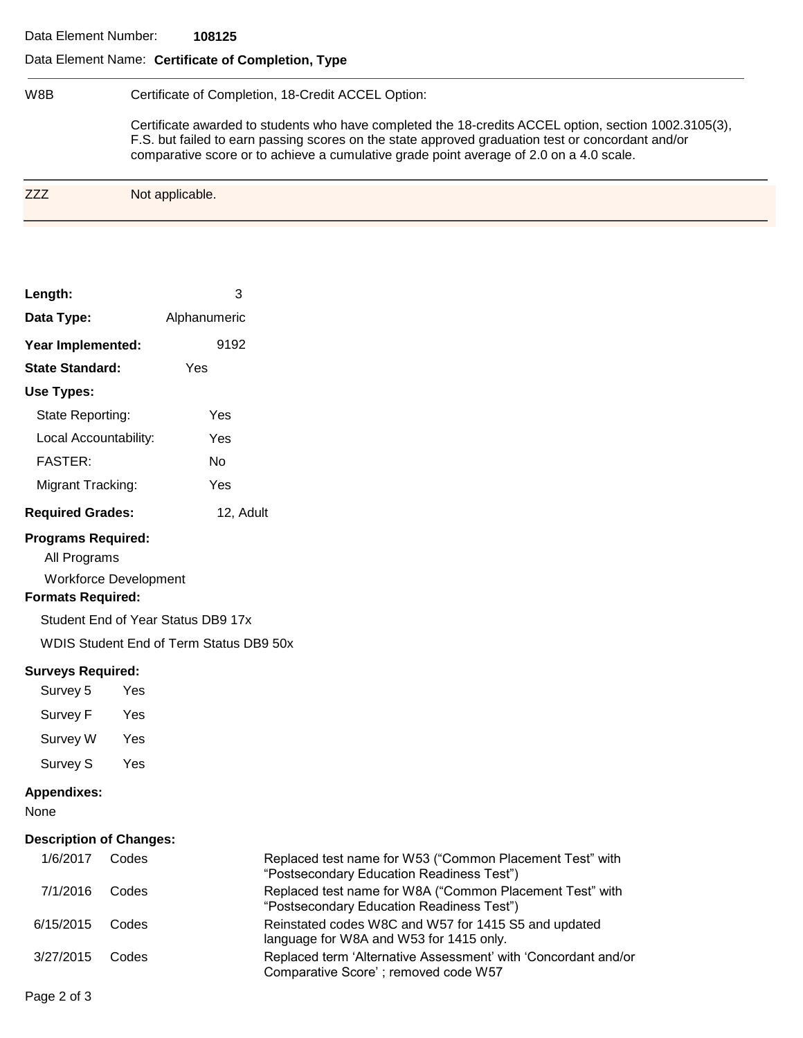### Data Element Name: **Certificate of Completion, Type**

| W8B | Certificate of Completion, 18-Credit ACCEL Option:                                                                                                                                                                                                                                                    |  |  |  |
|-----|-------------------------------------------------------------------------------------------------------------------------------------------------------------------------------------------------------------------------------------------------------------------------------------------------------|--|--|--|
|     | Certificate awarded to students who have completed the 18-credits ACCEL option, section 1002.3105(3),<br>F.S. but failed to earn passing scores on the state approved graduation test or concordant and/or<br>comparative score or to achieve a cumulative grade point average of 2.0 on a 4.0 scale. |  |  |  |
| 777 | Not applicable.                                                                                                                                                                                                                                                                                       |  |  |  |

| Length:                 | з            |  |  |  |
|-------------------------|--------------|--|--|--|
| Data Type:              | Alphanumeric |  |  |  |
| Year Implemented:       | 9192         |  |  |  |
| <b>State Standard:</b>  | Yes          |  |  |  |
| Use Types:              |              |  |  |  |
| State Reporting:        | Yes          |  |  |  |
| Local Accountability:   | Yes          |  |  |  |
| <b>FASTER:</b>          | N٥           |  |  |  |
| Migrant Tracking:       | Yes          |  |  |  |
| <b>Required Grades:</b> | 12, Adult    |  |  |  |
| Programs Required:      |              |  |  |  |

# pgrams **Requ**

All Programs

Workforce Development

## **Formats Required:**

Student End of Year Status DB9 17x

WDIS Student End of Term Status DB9 50x

## **Surveys Required:**

Survey 5 Yes Survey F Yes Survey W Yes Survey S Yes

## **Appendixes:**

None

#### **Description of Changes:**

| 1/6/2017  | Codes | Replaced test name for W53 ("Common Placement Test" with<br>"Postsecondary Education Readiness Test")  |
|-----------|-------|--------------------------------------------------------------------------------------------------------|
| 7/1/2016  | Codes | Replaced test name for W8A ("Common Placement Test" with<br>"Postsecondary Education Readiness Test")  |
| 6/15/2015 | Codes | Reinstated codes W8C and W57 for 1415 S5 and updated<br>language for W8A and W53 for 1415 only.        |
| 3/27/2015 | Codes | Replaced term 'Alternative Assessment' with 'Concordant and/or<br>Comparative Score'; removed code W57 |